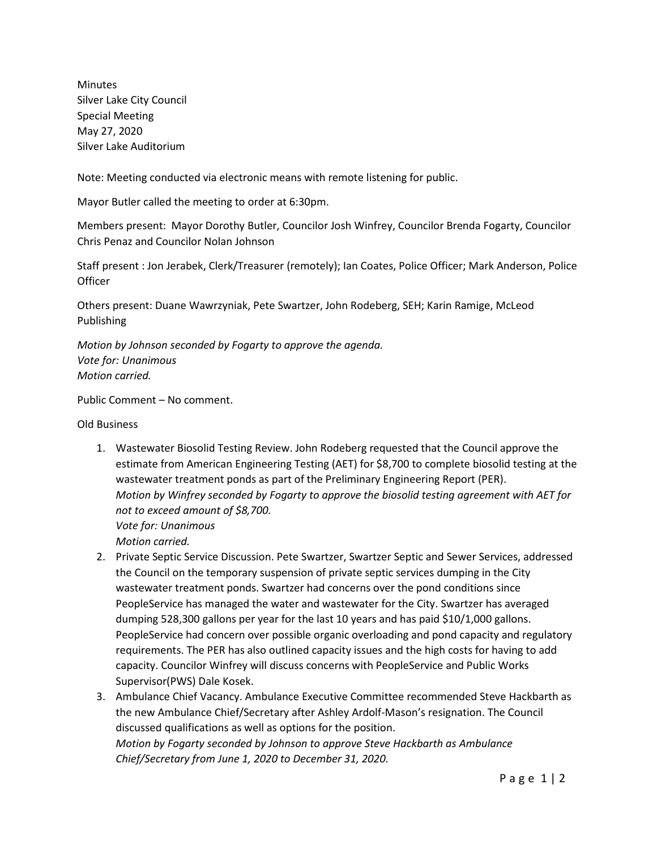Minutes Silver Lake City Council Special Meeting May 27, 2020 Silver Lake Auditorium

Note: Meeting conducted via electronic means with remote listening for public.

Mayor Butler called the meeting to order at 6:30pm.

Members present: Mayor Dorothy Butler, Councilor Josh Winfrey, Councilor Brenda Fogarty, Councilor Chris Penaz and Councilor Nolan Johnson

Staff present : Jon Jerabek, Clerk/Treasurer (remotely); Ian Coates, Police Officer; Mark Anderson, Police **Officer** 

Others present: Duane Wawrzyniak, Pete Swartzer, John Rodeberg, SEH; Karin Ramige, McLeod Publishing

*Motion by Johnson seconded by Fogarty to approve the agenda. Vote for: Unanimous Motion carried.*

Public Comment – No comment.

Old Business

- 1. Wastewater Biosolid Testing Review. John Rodeberg requested that the Council approve the estimate from American Engineering Testing (AET) for \$8,700 to complete biosolid testing at the wastewater treatment ponds as part of the Preliminary Engineering Report (PER). *Motion by Winfrey seconded by Fogarty to approve the biosolid testing agreement with AET for not to exceed amount of \$8,700. Vote for: Unanimous Motion carried.*
- 2. Private Septic Service Discussion. Pete Swartzer, Swartzer Septic and Sewer Services, addressed the Council on the temporary suspension of private septic services dumping in the City wastewater treatment ponds. Swartzer had concerns over the pond conditions since PeopleService has managed the water and wastewater for the City. Swartzer has averaged dumping 528,300 gallons per year for the last 10 years and has paid \$10/1,000 gallons. PeopleService had concern over possible organic overloading and pond capacity and regulatory requirements. The PER has also outlined capacity issues and the high costs for having to add capacity. Councilor Winfrey will discuss concerns with PeopleService and Public Works Supervisor(PWS) Dale Kosek.
- 3. Ambulance Chief Vacancy. Ambulance Executive Committee recommended Steve Hackbarth as the new Ambulance Chief/Secretary after Ashley Ardolf-Mason's resignation. The Council discussed qualifications as well as options for the position. *Motion by Fogarty seconded by Johnson to approve Steve Hackbarth as Ambulance Chief/Secretary from June 1, 2020 to December 31, 2020.*